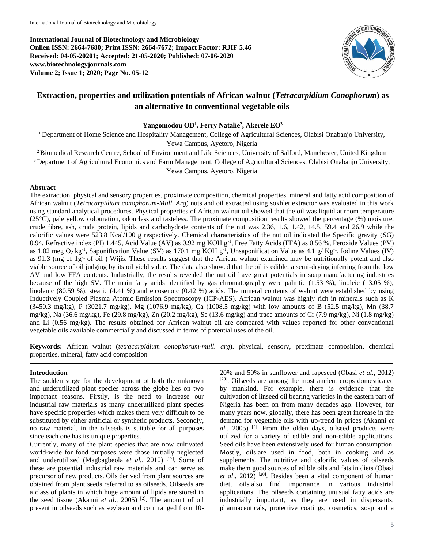**International Journal of Biotechnology and Microbiology Onlien ISSN: 2664-7680; Print ISSN: 2664-7672; Impact Factor: RJIF 5.46 Received: 04-05-20201; Accepted: 21-05-2020; Published: 07-06-2020 www.biotechnologyjournals.com Volume 2; Issue 1; 2020; Page No. 05-12**



# **Extraction, properties and utilization potentials of African walnut (***Tetracarpidium Conophorum***) as an alternative to conventional vegetable oils**

## **Yangomodou OD<sup>1</sup> , Ferry Natalie<sup>2</sup> , Akerele EO<sup>3</sup>**

<sup>1</sup> Department of Home Science and Hospitality Management, College of Agricultural Sciences, Olabisi Onabanjo University, Yewa Campus, Ayetoro, Nigeria

<sup>2</sup> Biomedical Research Centre, School of Environment and Life Sciences, University of Salford, Manchester, United Kingdom

<sup>3</sup> Department of Agricultural Economics and Farm Management, College of Agricultural Sciences, Olabisi Onabanjo University,

Yewa Campus, Ayetoro, Nigeria

#### **Abstract**

The extraction, physical and sensory properties, proximate composition, chemical properties, mineral and fatty acid composition of African walnut (*Tetracarpidium conophorum-Mull. Arg*) nuts and oil extracted using soxhlet extractor was evaluated in this work using standard analytical procedures. Physical properties of African walnut oil showed that the oil was liquid at room temperature (25°C), pale yellow colouration, odourless and tasteless. The proximate composition results showed the percentage (%) moisture, crude fibre, ash, crude protein, lipids and carbohydrate contents of the nut was 2.36, 1.6, 1.42, 14.5, 59.4 and 26.9 while the calorific values were 523.8 Kcal/100 g respectively. Chemical characteristics of the nut oil indicated the Specific gravity (SG) 0.94, Refractive index (PI) 1.445, Acid Value (AV) as 0.92 mg KOH g-1 , Free Fatty Acids (FFA) as 0.56 %, Peroxide Values (PV) as 1.02 meg O<sub>2</sub> kg<sup>-1</sup>, Saponification Value (SV) as 170.1 mg KOH g<sup>-1</sup>, Unsaponification Value as 4.1 g/ Kg<sup>-1</sup>, Iodine Values (IV) as 91.3 (mg of 1g<sup>-1</sup> of oil) Wijis. These results suggest that the African walnut examined may be nutritionally potent and also viable source of oil judging by its oil yield value. The data also showed that the oil is edible, a semi-drying inferring from the low AV and low FFA contents. Industrially, the results revealed the nut oil have great potentials in soap manufacturing industries because of the high SV. The main fatty acids identified by gas chromatography were palmtic  $(1.53 \%)$ , linoleic  $(13.05 \%)$ , linolenic (80.59 %), stearic (4.41 %) and eicosenoic (0.42 %) acids. The mineral contents of walnut were established by using Inductively Coupled Plasma Atomic Emission Spectroscopy (ICP-AES). African walnut was highly rich in minerals such as K (3450.3 mg/kg), P (3021.7 mg/kg), Mg (1076.9 mg/kg), Ca (1008.5 mg/kg) with low amounts of B (52.5 mg/kg), Mn (38.7 mg/kg), Na (36.6 mg/kg), Fe (29.8 mg/kg), Zn (20.2 mg/kg), Se (13.6 mg/kg) and trace amounts of Cr (7.9 mg/kg), Ni (1.8 mg/kg) and Li (0.56 mg/kg). The results obtained for African walnut oil are compared with values reported for other conventional vegetable oils available commercially and discussed in terms of potential uses of the oil.

**Keywords:** African walnut (*tetracarpidium conophorum-mull. arg*). physical, sensory, proximate composition, chemical properties, mineral, fatty acid composition

#### **Introduction**

The sudden surge for the development of both the unknown and underutilized plant species across the globe lies on two important reasons. Firstly, is the need to increase our industrial raw materials as many underutilized plant species have specific properties which makes them very difficult to be substituted by either artificial or synthetic products. Secondly, no raw material, in the oilseeds is suitable for all purposes since each one has its unique properties.

Currently, many of the plant species that are now cultivated world-wide for food purposes were those initially neglected and underutilized (Magbagbeola *et al.*, 2010)<sup>[17]</sup>. Some of these are potential industrial raw materials and can serve as precursor of new products. Oils derived from plant sources are obtained from plant seeds referred to as oilseeds. Oilseeds are a class of plants in which huge amount of lipids are stored in the seed tissue (Akanni *et al.*, 2005) [2] . The amount of oil present in oilseeds such as soybean and corn ranged from 10-

20% and 50% in sunflower and rapeseed (Obasi *et al*., 2012) [20] . Oilseeds are among the most ancient crops domesticated by mankind. For example, there is evidence that the cultivation of linseed oil bearing varieties in the eastern part of Nigeria has been on from many decades ago. However, for many years now, globally, there has been great increase in the demand for vegetable oils with up-trend in prices (Akanni *et*  al., 2005)<sup>[2]</sup>. From the olden days, oilseed products were utilized for a variety of edible and non-edible applications. Seed oils have been extensively used for human consumption. Mostly, oils are used in food, both in cooking and as supplements. The nutritive and calorific values of oilseeds make them good sources of edible oils and fats in diets (Obasi et al., 2012)<sup>[20]</sup>. Besides been a vital component of human diet, oils also find importance in various industrial applications. The oilseeds containing unusual fatty acids are industrially important, as they are used in dispersants, pharmaceuticals, protective coatings, cosmetics, soap and a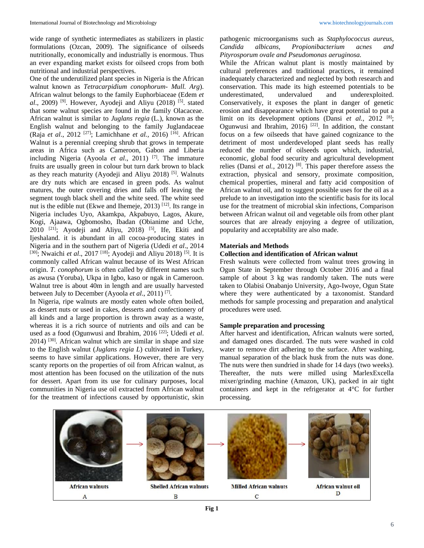wide range of synthetic intermediates as stabilizers in plastic formulations (Ozcan, 2009). The significance of oilseeds nutritionally, economically and industrially is enormous. Thus an ever expanding market exists for oilseed crops from both nutritional and industrial perspectives.

One of the underutilized plant species in Nigeria is the African walnut known as *Tetracarpidium conophorum- Mull. Arg*). African walnut belongs to the family Euphorbiaceae (Edem *et*  al., 2009)<sup>[9]</sup>. However, Ayodeji and Aliyu (2018)<sup>[5]</sup>. stated that some walnut species are found in the family Olacaceae. African walnut is similar to *Juglans regia* (L.), known as the English walnut and belonging to the family Juglandaceae (Raja *et al*., 2012 [27] ; Lamichhane *et al.,* 2016) [16] . African Walnut is a perennial creeping shrub that grows in temperate areas in Africa such as Cameroon, Gabon and Liberia including Nigeria (Ayoola *et al*., 2011) [7] . The immature fruits are usually green in colour but turn dark brown to black as they reach maturity (Ayodeji and Aliyu 2018)<sup>[5]</sup>. Walnuts are dry nuts which are encased in green pods. As walnut matures, the outer covering dries and falls off leaving the segment tough black shell and the white seed. The white seed nut is the edible nut (Ekwe and Ihemeje, 2013)<sup>[12]</sup>. Its range in Nigeria includes Uyo, Akamkpa, Akpabuyo, Lagos, Akure, Kogi, Ajaawa, Ogbomosho, Ibadan (Obianime and Uche, 2010<sup>[21]</sup>; Ayodeji and Aliyu, 2018)<sup>[5]</sup>, Ife, Ekiti and Ijeshaland. it is abundant in all cocoa-producing states in Nigeria and in the southern part of Nigeria (Udedi *et al*., 2014 <sup>[30]</sup>; Nwaichi *et al.*, 2017<sup>[18]</sup>; Ayodeji and Aliyu 2018)<sup>[5]</sup>. It is commonly called African walnut because of its West African origin. *T. conophorum* is often called by different names such as awusa (Yoruba), Ukpa in Igbo, kaso or ngak in Cameroon. Walnut tree is about 40m in length and are usually harvested between July to December (Ayoola *et al*., 2011) [7] .

In Nigeria, ripe walnuts are mostly eaten whole often boiled, as dessert nuts or used in cakes, desserts and confectionery of all kinds and a large proportion is thrown away as a waste, whereas it is a rich source of nutrients and oils and can be used as a food (Ogunwusi and Ibrahim, 2016<sup>[22]</sup>; Udedi *et al*. 2014) [30] *.* African walnut which are similar in shape and size to the English walnut (*Juglans regia L*) cultivated in Turkey, seems to have similar applications. However, there are very scanty reports on the properties of oil from African walnut, as most attention has been focused on the utilization of the nuts for dessert. Apart from its use for culinary purposes, local communities in Nigeria use oil extracted from African walnut for the treatment of infections caused by opportunistic, skin

pathogenic microorganisms such as *Staphylococcus aureus, Candida albicans, Propionibacterium acnes and Pityrosporum ovale and Pseudomonas aeruginosa.*

While the African walnut plant is mostly maintained by cultural preferences and traditional practices, it remained inadequately characterized and neglected by both research and conservation. This made its high esteemed potentials to be underestimated, undervalued and underexploited. Conservatively, it exposes the plant in danger of genetic erosion and disappearance which have great potential to put a limit on its development options (Dansi *et al.*, 2012<sup>[8]</sup>; Ogunwusi and Ibrahim,  $2016$ )<sup>[22]</sup>. In addition, the constant focus on a few oilseeds that have gained cognizance to the detriment of most underdeveloped plant seeds has really reduced the number of oilseeds upon which, industrial, economic, global food security and agricultural development relies (Dansi *et al.*, 2012)<sup>[8]</sup>. This paper therefore assess the extraction, physical and sensory, proximate composition, chemical properties, mineral and fatty acid composition of African walnut oil, and to suggest possible uses for the oil as a prelude to an investigation into the scientific basis for its local use for the treatment of microbial skin infections, Comparison between African walnut oil and vegetable oils from other plant sources that are already enjoying a degree of utilization, popularity and acceptability are also made.

## **Materials and Methods**

## **Collection and identification of African walnut**

Fresh walnuts were collected from walnut trees growing in Ogun State in September through October 2016 and a final sample of about 3 kg was randomly taken. The nuts were taken to Olabisi Onabanjo University, Ago-Iwoye, Ogun State where they were authenticated by a taxonomist. Standard methods for sample processing and preparation and analytical procedures were used.

## **Sample preparation and processing**

After harvest and identification, African walnuts were sorted, and damaged ones discarded. The nuts were washed in cold water to remove dirt adhering to the surface. After washing, manual separation of the black husk from the nuts was done. The nuts were then sundried in shade for 14 days (two weeks). Thereafter, the nuts were milled using MarlexExcella mixer/grinding machine (Amazon, UK), packed in air tight containers and kept in the refrigerator at 4°C for further processing.

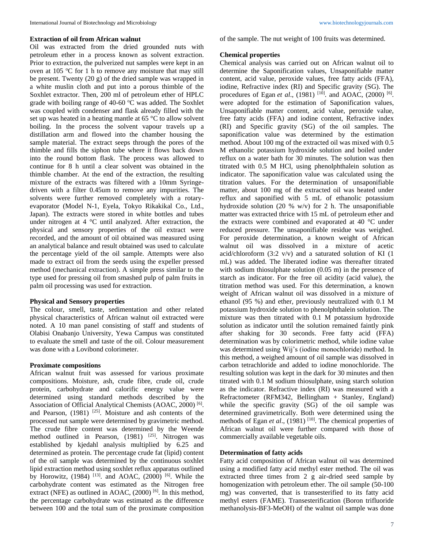## **Extraction of oil from African walnut**

Oil was extracted from the dried grounded nuts with petroleum ether in a process known as solvent extraction. Prior to extraction, the pulverized nut samples were kept in an oven at 105  $\degree$ C for 1 h to remove any moisture that may still be present. Twenty (20 g) of the dried sample was wrapped in a white muslin cloth and put into a porous thimble of the Soxhlet extractor. Then, 200 ml of petroleum ether of HPLC grade with boiling range of 40-60  $\degree$ C was added. The Soxhlet was coupled with condenser and flask already filled with the set up was heated in a heating mantle at 65 °C to allow solvent boiling. In the process the solvent vapour travels up a distillation arm and flowed into the chamber housing the sample material. The extract seeps through the pores of the thimble and fills the siphon tube where it flows back down into the round bottom flask. The process was allowed to continue for 8 h until a clear solvent was obtained in the thimble chamber. At the end of the extraction, the resulting mixture of the extracts was filtered with a 10mm Syringedriven with a filter 0.45um to remove any impurities. The solvents were further removed completely with a rotaryevaporator (Model N-1, Eyela, Tokyo Rikakikal Co., Ltd., Japan). The extracts were stored in white bottles and tubes under nitrogen at 4 °C until analyzed. After extraction, the physical and sensory properties of the oil extract were recorded, and the amount of oil obtained was measured using an analytical balance and result obtained was used to calculate the percentage yield of the oil sample. Attempts were also made to extract oil from the seeds using the expeller pressed method (mechanical extraction). A simple press similar to the type used for pressing oil from smashed pulp of palm fruits in palm oil processing was used for extraction.

#### **Physical and Sensory properties**

The colour, smell, taste, sedimentation and other related physical characteristics of African walnut oil extracted were noted. A 10 man panel consisting of staff and students of Olabisi Onabanjo University, Yewa Campus was constituted to evaluate the smell and taste of the oil. Colour measurement was done with a Lovibond colorimeter.

#### **Proximate compositions**

African walnut fruit was assessed for various proximate compositions. Moisture, ash, crude fibre, crude oil, crude protein, carbohydrate and calorific energy value were determined using standard methods described by the Association of Official Analytical Chemists (AOAC, 2000)<sup>[6]</sup>. and Pearson,  $(1981)$ <sup>[25]</sup>. Moisture and ash contents of the processed nut sample were determined by gravimetric method. The crude fibre content was determined by the Weende method outlined in Pearson, (1981) <sup>[25]</sup>. Nitrogen was established by kjedahl analysis multiplied by 6.25 and determined as protein. The percentage crude fat (lipid) content of the oil sample was determined by the continuous soxhlet lipid extraction method using soxhlet reflux apparatus outlined by Horowitz,  $(1984)$ <sup>[13]</sup>. and AOAC,  $(2000)$ <sup>[6]</sup>. While the carbohydrate content was estimated as the Nitrogen free extract (NFE) as outlined in AOAC, (2000)<sup>[6]</sup>. In this method, the percentage carbohydrate was estimated as the difference between 100 and the total sum of the proximate composition of the sample. The nut weight of 100 fruits was determined.

## **Chemical properties**

Chemical analysis was carried out on African walnut oil to determine the Saponification values, Unsaponifiable matter content, acid value, peroxide values, free fatty acids (FFA), iodine, Refractive index (RI) and Specific gravity (SG). The procedures of Egan *et al.*, (1981) <sup>[10]</sup>. and AOAC, (2000) <sup>[6]</sup>. were adopted for the estimation of Saponification values, Unsaponifiable matter content, acid value, peroxide value, free fatty acids (FFA) and iodine content, Refractive index (RI) and Specific gravity (SG) of the oil samples. The saponification value was determined by the estimation method. About 100 mg of the extracted oil was mixed with 0.5 M ethanolic potassium hydroxide solution and boiled under reflux on a water bath for 30 minutes. The solution was then titrated with 0.5 M HCl, using phenolphthalein solution as indicator. The saponification value was calculated using the titration values. For the determination of unsaponifiable matter, about 100 mg of the extracted oil was heated under reflux and saponified with 5 mL of ethanolic potassium hydroxide solution (20 % w/v) for 2 h. The unsaponifiable matter was extracted thrice with 15 mL of petroleum ether and the extracts were combined and evaporated at 40 °C under reduced pressure. The unsaponifiable residue was weighed. For peroxide determination, a known weight of African walnut oil was dissolved in a mixture of acetic acid/chloroform  $(3:2 \text{ v/v})$  and a saturated solution of KI  $(1)$ mL) was added. The liberated iodine was thereafter titrated with sodium thiosulphate solution (0.05 m) in the presence of starch as indicator. For the free oil acidity (acid value), the titration method was used. For this determination, a known weight of African walnut oil was dissolved in a mixture of ethanol (95 %) and ether, previously neutralized with 0.1 M potassium hydroxide solution to phenolphthalein solution. The mixture was then titrated with 0.1 M potassium hydroxide solution as indicator until the solution remained faintly pink after shaking for 30 seconds. Free fatty acid (FFA) determination was by colorimetric method, while iodine value was determined using Wij's (iodine monochloride) method. In this method, a weighed amount of oil sample was dissolved in carbon tetrachloride and added to iodine monochloride. The resulting solution was kept in the dark for 30 minutes and then titrated with 0.1 M sodium thiosulphate, using starch solution as the indicator. Refractive index (RI) was measured with a Refractometer (RFM342, Bellingham + Stanley, England) while the specific gravity (SG) of the oil sample was determined gravimetrically. Both were determined using the methods of Egan et al., (1981)<sup>[10]</sup>. The chemical properties of African walnut oil were further compared with those of commercially available vegetable oils.

#### **Determination of fatty acids**

Fatty acid composition of African walnut oil was determined using a modified fatty acid methyl ester method. The oil was extracted three times from 2 g air-dried seed sample by homogenization with petroleum ether. The oil sample (50-100 mg) was converted, that is transesterified to its fatty acid methyl esters (FAME). Transesterification (Boron trifluoride methanolysis-BF3-MeOH) of the walnut oil sample was done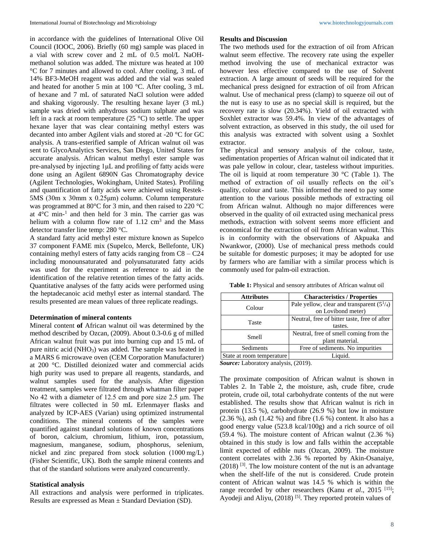in accordance with the guidelines of International Olive Oil Council (IOOC, 2006). Briefly (60 mg) sample was placed in a vial with screw cover and 2 mL of 0.5 mol/L NaOHmethanol solution was added. The mixture was heated at 100 °C for 7 minutes and allowed to cool. After cooling, 3 mL of 14% BF3-MeOH reagent was added and the vial was sealed and heated for another 5 min at 100 °C. After cooling, 3 mL of hexane and 7 mL of saturated NaCl solution were added and shaking vigorously. The resulting hexane layer (3 mL) sample was dried with anhydrous sodium sulphate and was left in a rack at room temperature  $(25 \degree C)$  to settle. The upper hexane layer that was clear containing methyl esters was decanted into amber Agilent vials and stored at -20 °C for GC analysis. A trans-esterified sample of African walnut oil was sent to GlycoAnalytics Services, San Diego, United States for accurate analysis. African walnut methyl ester sample was pre-analysed by injecting 1μL and profiling of fatty acids were done using an Agilent 6890N Gas Chromatography device (Agilent Technologies, Wokingham, United States). Profiling and quantification of fatty acids were achieved using Restek-5MS (30m x 30mm x 0.25μm) column. Column temperature was programmed at 80°C for 3 min, and then raised to 220 °C at  $4^{\circ}$ C min-<sup>1</sup> and then held for 3 min. The carrier gas was helium with a column flow rate of  $1.12 \text{ cm}^3$  and the Mass detector transfer line temp: 280 °C.

A standard fatty acid methyl ester mixture known as Supelco 37 component FAME mix (Supelco, Merck, Bellefonte, UK) containing methyl esters of fatty acids ranging from  $C8 - C24$ including monounsaturated and polyunsaturated fatty acids was used for the experiment as reference to aid in the identification of the relative retention times of the fatty acids. Quantitative analyses of the fatty acids were performed using the heptadecanoic acid methyl ester as internal standard. The results presented are mean values of three replicate readings.

#### **Determination of mineral contents**

Mineral content **of** African walnut oil was determined by the method described by Ozcan, (2009). About 0.3-0.6 g of milled African walnut fruit was put into burning cup and 15 mL of pure nitric acid (NHO<sub>3</sub>) was added. The sample was heated in a MARS 6 microwave oven (CEM Corporation Manufacturer) at 200 °C. Distilled deionized water and commercial acids high purity was used to prepare all reagents, standards, and walnut samples used for the analysis. After digestion treatment, samples were filtrated through whatman filter paper No 42 with a diameter of 12.5 cm and pore size 2.5 μm. The filtrates were collected in 50 mL Erlenmayer flasks and analyzed by ICP-AES (Varian) using optimized instrumental conditions. The mineral contents of the samples were quantified against standard solutions of known concentrations of boron, calcium, chromium, lithium, iron, potassium, magnesium, manganese, sodium, phosphorus, selenium, nickel and zinc prepared from stock solution (1000 mg/L) (Fisher Scientific, UK). Both the sample mineral contents and that of the standard solutions were analyzed concurrently.

#### **Statistical analysis**

All extractions and analysis were performed in triplicates. Results are expressed as Mean ± Standard Deviation (SD).

## **Results and Discussion**

The two methods used for the extraction of oil from African walnut seem effective. The recovery rate using the expeller method involving the use of mechanical extractor was however less effective compared to the use of Solvent extraction. A large amount of seeds will be required for the mechanical press designed for extraction of oil from African walnut. Use of mechanical press (clamp) to squeeze oil out of the nut is easy to use as no special skill is required, but the recovery rate is slow (20.34%). Yield of oil extracted with Soxhlet extractor was 59.4%. In view of the advantages of solvent extraction, as observed in this study, the oil used for this analysis was extracted with solvent using a Soxhlet extractor.

The physical and sensory analysis of the colour, taste, sedimentation properties of African walnut oil indicated that it was pale yellow in colour, clear, tasteless without impurities. The oil is liquid at room temperature 30  $\degree$ C (Table 1). The method of extraction of oil usually reflects on the oil's quality, colour and taste. This informed the need to pay some attention to the various possible methods of extracting oil from African walnut. Although no major differences were observed in the quality of oil extracted using mechanical press methods, extraction with solvent seems more efficient and economical for the extraction of oil from African walnut. This is in conformity with the observations of Akpuaka and Nwankwor, (2000). Use of mechanical press methods could be suitable for domestic purposes; it may be adopted for use by farmers who are familiar with a similar process which is commonly used for palm-oil extraction.

**Table 1:** Physical and sensory attributes of African walnut oil

| <b>Attributes</b>         | <b>Characteristics / Properties</b>          |  |  |
|---------------------------|----------------------------------------------|--|--|
| Colour                    | Pale yellow, clear and transparent $(51/4)$  |  |  |
|                           | on Lovibond meter)                           |  |  |
| Taste                     | Neutral, free of bitter taste, free of after |  |  |
|                           | tastes.                                      |  |  |
| Smell                     | Neutral, free of smell coming from the       |  |  |
|                           | plant material.                              |  |  |
| Sediments                 | Free of sediments. No impurities             |  |  |
| State at room temperature | Liquid.                                      |  |  |
|                           |                                              |  |  |

*Source:* Laboratory analysis, (2019).

The proximate composition of African walnut is shown in Tables 2. In Table 2, the moisture, ash, crude fibre, crude protein, crude oil, total carbohydrate contents of the nut were established. The results show that African walnut is rich in protein (13.5 %), carbohydrate (26.9 %) but low in moisture (2.36 %), ash (1.42 %) and fibre (1.6 %) content. It also has a good energy value (523.8 kcal/100g) and a rich source of oil (59.4 %). The moisture content of African walnut (2.36 %) obtained in this study is low and falls within the acceptable limit expected of edible nuts (Ozcan, 2009). The moisture content correlates with 2.36 % reported by Akin-Osanaiye,  $(2018)$ <sup>[3]</sup>. The low moisture content of the nut is an advantage when the shelf-life of the nut is considered. Crude protein content of African walnut was 14.5 % which is within the range recorded by other researchers (Kanu *et al.*, 2015<sup>[15]</sup>; Ayodeji and Aliyu,  $(2018)$ <sup>[5]</sup>. They reported protein values of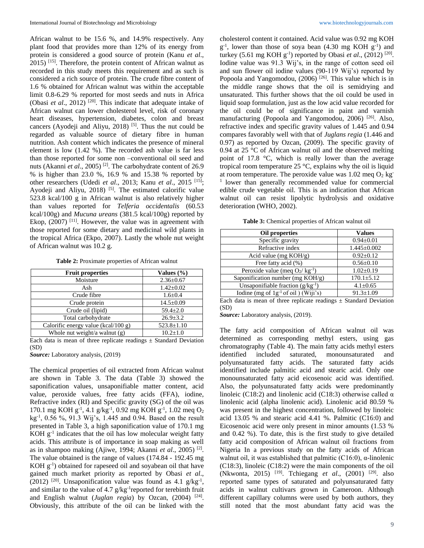African walnut to be 15.6 %, and 14.9% respectively. Any plant food that provides more than 12% of its energy from protein is considered a good source of protein (Kanu *et al*., 2015) [15] . Therefore, the protein content of African walnut as recorded in this study meets this requirement and as such is considered a rich source of protein. The crude fibre content of 1.6 % obtained for African walnut was within the acceptable limit 0.8-6.29 % reported for most seeds and nuts in Africa (Obasi *et al.*, 2012)<sup>[20]</sup>. This indicate that adequate intake of African walnut can lower cholesterol level, risk of coronary heart diseases, hypertension, diabetes, colon and breast cancers (Ayodeji and Aliyu, 2018)<sup>[5]</sup>. Thus the nut could be regarded as valuable source of dietary fibre in human nutrition. Ash content which indicates the presence of mineral element is low (1.42 %). The recorded ash value is far less than those reported for some non –conventional oil seed and nuts (Akanni *et al.*, 2005)<sup>[2]</sup>. The carbohydrate content of 26.9 % is higher than 23.0 %, 16.9 % and 15.38 % reported by other researchers (Udedi *et al.*, 2013; Kanu *et al.*, 2015<sup>[15]</sup>; Ayodeji and Aliyu,  $2018$ )<sup>[5]</sup>. The estimated calorific value 523.8 kcal/100 g in African walnut is also relatively higher than values reported for *Telferia occidentalis* (60.53 kcal/100g) and *Mucuna ureans* (381.5 kcal/100g) reported by Ekop,  $(2007)$ <sup>[11]</sup>. However, the value was in agreement with those reported for some dietary and medicinal wild plants in the tropical Africa (Ekpo, 2007). Lastly the whole nut weight of African walnut was 10.2 g.

**Table 2:** Proximate properties of African walnut

| <b>Fruit properties</b>             | Values $(\% )$   |
|-------------------------------------|------------------|
| Moisture                            | $2.36 \pm 0.67$  |
| Ash                                 | $1.42 \pm 0.02$  |
| Crude fibre                         | $1.6 \pm 0.4$    |
| Crude protein                       | $14.5 \pm 0.09$  |
| Crude oil (lipid)                   | $59.4 \pm 2.0$   |
| Total carbohydrate                  | $26.9 \pm 3.2$   |
| Calorific energy value (kcal/100 g) | $523.8 \pm 1.10$ |
| Whole nut weight/a walnut (g)       | $10.2 \pm 1.0$   |

Each data is mean of three replicate readings  $\pm$  Standard Deviation (SD)

*Source:* Laboratory analysis, (2019)

The chemical properties of oil extracted from African walnut are shown in Table 3. The data (Table 3) showed the saponification values, unsaponifiable matter content, acid value, peroxide values, free fatty acids (FFA), iodine, Refractive index (RI) and Specific gravity (SG) of the oil was 170.1 mg KOH g<sup>-1</sup>, 4.1 g/kg<sup>-1</sup>, 0.92 mg KOH g<sup>-1</sup>, 1.02 meq O<sub>2</sub> kg-1 , 0.56 %, 91.3 Wij's, 1.445 and 0.94. Based on the result presented in Table 3, a high saponification value of 170.1 mg  $KOH$   $g^{-1}$  indicates that the oil has low molecular weight fatty acids. This attribute is of importance in soap making as well as in shampoo making (Ajiwe, 1994; Akanni *et al.*, 2005)<sup>[2]</sup>. The value obtained is the range of values (174.84 - 192.45 mg  $KOH$   $g^{-1}$ ) obtained for rapeseed oil and soyabean oil that have gained much market priority as reported by Obasi *et al*., (2012)<sup>[20]</sup>. Unsaponification value was found as  $4.1$  g/kg<sup>-1</sup>, and similar to the value of 4.7  $g/kg^{-1}$ reported for terebinth fruit and English walnut (*Juglan regia*) by Ozcan,  $(2004)$ <sup>[24]</sup>. Obviously, this attribute of the oil can be linked with the

cholesterol content it contained. Acid value was 0.92 mg KOH  $g^{-1}$ , lower than those of soya bean (4.30 mg KOH  $g^{-1}$ ) and turkey  $(5.61 \text{ mg KOH g}^{-1})$  reported by Obasi *et al.*,  $(2012)$ <sup>[20]</sup>. Iodine value was 91.3 Wij's, in the range of cotton seed oil and sun flower oil iodine values (90-119 Wij's) reported by Popoola and Yangomodou,  $(2006)$ <sup>[26]</sup>. This value which is in the middle range shows that the oil is semidrying and unsaturated. This further shows that the oil could be used in liquid soap formulation, just as the low acid value recorded for the oil could be of significance in paint and varnish manufacturing (Popoola and Yangomodou, 2006)<sup>[26]</sup>. Also, refractive index and specific gravity values of 1.445 and 0.94 compares favorably well with that of *Juglans regia* (1.446 and 0.97) as reported by Ozcan, (2009). The specific gravity of 0.94 at 25 °C of African walnut oil and the observed melting point of 17.8 °C, which is really lower than the average tropical room temperature 25  $\degree$ C, explains why the oil is liquid at room temperature. The peroxide value was  $1.02$  meq  $O_2$  kg<sup>-</sup> <sup>1</sup> lower than generally recommended value for commercial edible crude vegetable oil. This is an indication that African walnut oil can resist lipolytic hydrolysis and oxidative deterioration (WHO, 2002).

**Table 3:** Chemical properties of African walnut oil

| Oil properties                                 | <b>Values</b>     |  |  |  |
|------------------------------------------------|-------------------|--|--|--|
| Specific gravity                               | $0.94 \pm 0.01$   |  |  |  |
| Refractive index                               | $1.445 \pm 0.002$ |  |  |  |
| Acid value (mg $KOH/g$ )                       | $0.92 \pm 0.12$   |  |  |  |
| Free fatty acid (%)                            | $0.56 \pm 0.10$   |  |  |  |
| Peroxide value (meq $O_2$ / kg <sup>-1</sup> ) | $1.02 \pm 0.19$   |  |  |  |
| Saponification number (mg KOH/g)               | $170.1 \pm 5.12$  |  |  |  |
| Unsaponifiable fraction $(g/kg^{-1})$          | $4.1 \pm 0.65$    |  |  |  |
| Iodine (mg of $1g^{-1}$ of oil) (Wiji's)       | $91.3 \pm 1.09$   |  |  |  |

Each data is mean of three replicate readings  $\pm$  Standard Deviation (SD)

*Source:* Laboratory analysis, (2019).

The fatty acid composition of African walnut oil was determined as corresponding methyl esters, using gas chromatography (Table 4). The main fatty acids methyl esters identified included saturated, monounsaturated and polyunsaturated fatty acids. The saturated fatty acids identified include palmitic acid and stearic acid. Only one monounsaturated fatty acid eicosenoic acid was identified. Also, the polyunsaturated fatty acids were predominantly linoleic (C18:2) and linolenic acid (C18:3) otherwise called  $\alpha$ linolenic acid (alpha linolenic acid). Linolenic acid 80.59 % was present in the highest concentration, followed by linoleic acid 13.05 % and stearic acid 4.41 %. Palmitic (C16:0) and Eicosenoic acid were only present in minor amounts (1.53 % and 0.42 %). To date, this is the first study to give detailed fatty acid composition of African walnut oil fractions from Nigeria In a previous study on the fatty acids of African walnut oil, it was established that palmitic (C16:0),  $\alpha$ -linolenic (C18:3), linoleic (C18:2) were the main components of the oil (Nkwonta, 2015) <sup>[19]</sup>. Tchiegang *et al.*, (2001) <sup>[29]</sup>. also reported same types of saturated and polyunsaturated fatty acids in walnut cultivars grown in Cameroon. Although different capillary columns were used by both authors, they still noted that the most abundant fatty acid was the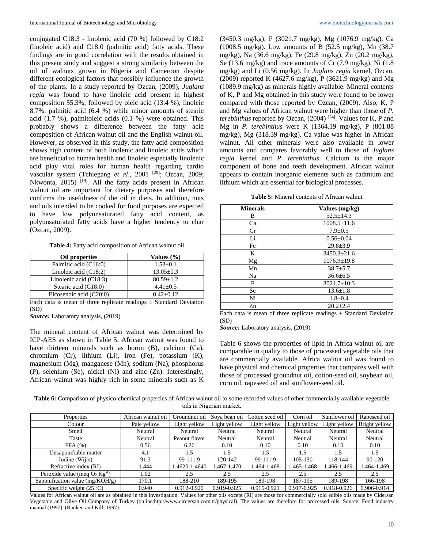conjugated C18:3 - linolenic acid (70 %) followed by C18:2 (linoleic acid) and C18:0 (palmitic acid) fatty acids. These findings are in good correlation with the results obtained in this present study and suggest a strong similarity between the oil of walnuts grown in Nigeria and Cameroon despite different ecological factors that possibly influence the growth of the plants. In a study reported by Ozcan, (2009), *Juglans regia* was found to have linoleic acid present in highest composition 55.3%, followed by oleic acid (13.4 %), linoleic 8.7%, palmitic acid (6.4 %) while minor amounts of stearic acid (1.7 %), palmitoleic acids (0.1 %) were obtained. This probably shows a difference between the fatty acid composition of African walnut oil and the English walnut oil. However, as observed in this study, the fatty acid composition shows high content of both linolenic and linoleic acids which are beneficial to human health and linoleic especially linolenic acid play vital roles for human health regarding cardio vascular system (Tchiegang et al., 2001<sup>[29]</sup>; Ozcan, 2009; Nkwonta, 2015)<sup>[19]</sup>. All the fatty acids present in African walnut oil are important for dietary purposes and therefore confirms the usefulness of the oil in diets. In addition, nuts and oils intended to be cooked for food purposes are expected to have low polyunsaturated fatty acid content, as polyunsaturated fatty acids have a higher tendency to char (Ozcan, 2009).

**Table 4:** Fatty acid composition of African walnut oil

| Oil properties            | Values $(\% )$  |  |  |
|---------------------------|-----------------|--|--|
| Palmitic acid (C16:0)     | $1.53 \pm 0.1$  |  |  |
| Linoleic acid $(C18:2)$   | $13.05 \pm 0.3$ |  |  |
| Linolenic acid $(C18:3)$  | $80.59 \pm 1.2$ |  |  |
| Stearic acid (C18:0)      | $4.41 \pm 0.5$  |  |  |
| Eicosenoic acid $(C20:0)$ | $0.42 + 0.12$   |  |  |

Each data is mean of three replicate readings  $\pm$  Standard Deviation (SD)

*Source:* Laboratory analysis, (2019)

The mineral content of African walnut was determined by ICP-AES as shown in Table 5. African walnut was found to have thirteen minerals such as boron (B), calcium (Ca), chromium (Cr), lithium (Li), iron (Fe), potassium (K), magnesium (Mg), manganese (Mn), sodium (Na), phosphorus (P), selenium (Se), nickel (Ni) and zinc (Zn). Interestingly, African walnut was highly rich in some minerals such as K

(3450.3 mg/kg), P (3021.7 mg/kg), Mg (1076.9 mg/kg), Ca (1008.5 mg/kg). Low amounts of B (52.5 mg/kg), Mn (38.7 mg/kg), Na (36.6 mg/kg), Fe (29.8 mg/kg), Zn (20.2 mg/kg), Se (13.6 mg/kg) and trace amounts of Cr (7.9 mg/kg), Ni (1.8 mg/kg) and Li (0.56 mg/kg). In *Juglans regia* kernel, Ozcan, (2009) reported K (4627.6 mg/kg), P (3621.9 mg/kg) and Mg (1089.9 mg/kg) as minerals highly available. Mineral contents of K, P and Mg obtained in this study were found to be lower compared with those reported by Ozcan, (2009). Also, K, P and Mg values of African walnut were higher than those of *P. terebinthus* reported by Ozcan, (2004) [24] . Values for K, P and Mg in *P. terebinthus* were K (1364.19 mg/kg), P (801.88 mg/kg), Mg (318.39 mg/kg). Ca value was higher in African walnut. All other minerals were also available in lower amounts and compares favorably well to those of *Juglans regia* kernel and *P. terebinthus*. Calcium is the major component of bone and teeth development. African walnut appears to contain inorganic elements such as cadmium and lithium which are essential for biological processes.

**Table 5:** Mineral contents of African walnut

| <b>Minerals</b> | Values (mg/kg)    |  |  |  |  |
|-----------------|-------------------|--|--|--|--|
| B               | $52.5 \pm 14.3$   |  |  |  |  |
| Ca              | $1008.5 \pm 11.6$ |  |  |  |  |
| Cr              | $7.9 \pm 0.5$     |  |  |  |  |
| Li              | $0.56 \pm 0.04$   |  |  |  |  |
| Fe              | $29.8 \pm 3.9$    |  |  |  |  |
| K               | $3450.3 \pm 21.6$ |  |  |  |  |
| Mg              | $1076.9 \pm 19.8$ |  |  |  |  |
| Mn              | $38.7 + 5.7$      |  |  |  |  |
| Na              | $36.6 \pm 6.5$    |  |  |  |  |
| P               | $3021.7 \pm 10.3$ |  |  |  |  |
| <b>Se</b>       | $13.6 \pm 1.8$    |  |  |  |  |
| Ni              | $1.8 \pm 0.4$     |  |  |  |  |
| Zn              | $20.2 \pm 2.4$    |  |  |  |  |

Each data is mean of three replicate readings  $\pm$  Standard Deviation (SD)

*Source:* Laboratory analysis, (2019)

Table 6 shows the properties of lipid in Africa walnut oil are comparable in quality to those of processed vegetable oils that are commercially available. Africa walnut oil was found to have physical and chemical properties that compares well with those of processed groundnut oil, cotton-seed oil, soybean oil, corn oil, rapeseed oil and sunflower-seed oil.

**Table 6:** Comparison of physico-chemical properties of African walnut oil to some recorded values of other commercially available vegetable oils in Nigerian market.

| Properties                                   | African walnut oil | Groundnut oil | Sova bean oil | Cotton seed oil | Corn oil     | Sunflower oil | Rapeseed oil  |
|----------------------------------------------|--------------------|---------------|---------------|-----------------|--------------|---------------|---------------|
| Colour                                       | Pale yellow        | Light yellow  | Light yellow  | Light yellow    | Light yellow | Light yellow  | Bright yellow |
| Smell                                        | Neutral            | Neutral       | Neutral       | Neutral         | Neutral      | Neutral       | Neutral       |
| Taste                                        | Neutral            | Peanut flavor | Neutral       | Neutral         | Neutral      | Neutral       | Neutral       |
| FFA(%)                                       | 0.56               | 6.26          | 0.10          | 0.10            | 0.10         | 0.10          | 0.10          |
| Unsaponifiable matter                        | 4.1                | 1.5           | 1.5           | 1.5             | 1.5          | 1.5           | 1.5           |
| Iodine $(W_{11}$ 's)                         | 91.3               | 99-111.9      | 120-142       | 99-111.9        | 105-130      | 118-144       | 90-120        |
| Refractive index (RI)                        | .444               | .4620-1.4640  | 1.467-1.470   | 1.464-1.468     | 1.465-1.468  | 1.466-1.469   | 1.464-1.469   |
| Peroxide value (meg $O_2$ Kg <sup>-1</sup> ) | 1.02               | 2.5           | 2.5           | 2.5             | 2.5          | 2.5           | 2.5           |
| Saponification value (mg/KOH/g)              | 170.1              | 188-210       | 189-195       | 189-198         | 187-195      | 189-198       | 166-198       |
| Specific weight $(25 °C)$                    | 0.940              | 0.912-0.920   | 0.919-0.925   | 0.915-0.921     | 0.917-0.925  | 0.918-0.926   | 0.906-0.914   |

Values for African walnut oil are as obtained in this investigation. Values for other oils except (RI) are those for commercially sold edible oils made by Cidersan Vegetable and Olive Oil Company of Turkey (online:htp://www.cirdersan.com.tr/physical). The values are therefore for processed oils. Source: Food industry manual (1997). (Ranken and Kill, 1997).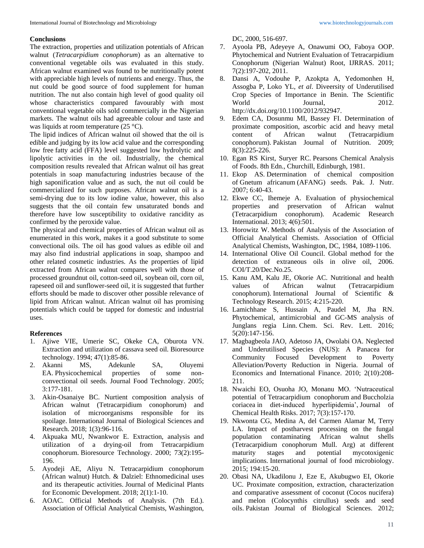## **Conclusions**

The extraction, properties and utilization potentials of African walnut (*Tetracarpidium conophorum*) as an alternative to conventional vegetable oils was evaluated in this study. African walnut examined was found to be nutritionally potent with appreciable high levels of nutrients and energy. Thus, the nut could be good source of food supplement for human nutrition. The nut also contain high level of good quality oil whose characteristics compared favourably with most conventional vegetable oils sold commercially in the Nigerian markets. The walnut oils had agreeable colour and taste and was liquids at room temperature (25 °C).

The lipid indices of African walnut oil showed that the oil is edible and judging by its low acid value and the corresponding low free fatty acid (FFA) level suggested low hydrolytic and lipolytic activities in the oil. Industrially, the chemical composition results revealed that African walnut oil has great potentials in soap manufacturing industries because of the high saponification value and as such, the nut oil could be commercialized for such purposes. African walnut oil is a semi-drying due to its low iodine value, however, this also suggests that the oil contain few unsaturated bonds and therefore have low susceptibility to oxidative rancidity as confirmed by the peroxide value.

The physical and chemical properties of African walnut oil as enumerated in this work, makes it a good substitute to some convectional oils. The oil has good values as edible oil and may also find industrial applications in soap, shampoo and other related cosmetic industries. As the properties of lipid extracted from African walnut compares well with those of processed groundnut oil, cotton-seed oil, soybean oil, corn oil, rapeseed oil and sunflower-seed oil, it is suggested that further efforts should be made to discover other possible relevance of lipid from African walnut. African walnut oil has promising potentials which could be tapped for domestic and industrial uses.

## **References**

- 1. Ajiwe VIE, Umerie SC, Okeke CA, Oburota VN. Extraction and utilization of cassava seed oil. Bioresource technology. 1994; 47(1):85-86.
- 2. Akanni MS, Adekunle SA, Oluyemi EA. Physicochemical properties of some nonconvectional oil seeds. Journal Food Technology. 2005; 3:177-181.
- 3. Akin-Osanaiye BC. Nurtient composition analysis of African walnut (Tetracarpidium conophorum) and isolation of microorganisms responsible for its spoilage. International Journal of Biological Sciences and Research. 2018; 1(3):96-116.
- 4. Akpuaka MU, Nwankwor E. Extraction, analysis and utilization of a drying-oil from Tetracarpidium conophorum. Bioresource Technology. 2000; 73(2):195- 196.
- 5. Ayodeji AE, Aliyu N. Tetracarpidium conophorum (African walnut) Hutch. & Dalziel: Ethnomedicinal uses and its therapeutic activities. Journal of Medicinal Plants for Economic Development. 2018; 2(1):1-10.
- 6. AOAC. Official Methods of Analysis. (7th Ed.). Association of Official Analytical Chemists, Washington,

DC, 2000, 516-697.

- 7. Ayoola PB, Adeyeye A, Onawumi OO, Faboya OOP. Phytochemical and Nutrient Evaluation of Tetracarpidium Conophorum (Nigerian Walnut) Root, IJRRAS. 2011; 7(2):197-202, 2011.
- 8. Dansi A, Vodouhe P, Azokpta A, Yedomonhen H, Assogba P, Loko YL, *et al*. Diveersity of Underutilised Crop Species of Importance in Benin. The Scientific World Journal, 2012. http://dx.doi.org/10.1100/2012/932947.
- 9. Edem CA, Dosunmu MI, Bassey FI. Determination of proximate composition, ascorbic acid and heavy metal content of African walnut (Tetracarpidium conophorum). Pakistan Journal of Nutrition. 2009; 8(3):225-226.
- 10. Egan RS Kirst, Suryer RC. Pearsons Chemical Analysis of Foods. 8th Edn., Churchill, Edinburgh, 1981.
- 11. Ekop AS. Determination of chemical composition of Gnetum africanum (AFANG) seeds. Pak. J. Nutr. 2007; 6:40-43.
- 12. Ekwe CC, Ihemeje A. Evaluation of physiochemical properties and preservation of African walnut (Tetracarpidium conophorum). Academic Research International. 2013; 4(6):501.
- 13. Horowitz W. Methods of Analysis of the Association of Official Analytical Chemists. Association of Official Analytical Chemists, Washington, DC, 1984, 1089-1106.
- 14. International Olive Oil Council. Global method for the detection of extraneous oils in olive oil, 2006. COI/T.20/Dec.No.25.
- 15. Kanu AM, Kalu JE, Okorie AC. Nutritional and health values of African walnut (Tetracarpidium conophorum). International Journal of Scientific & Technology Research. 2015; 4:215-220.
- 16. Lamichhane S, Hussain A, Paudel M, Jha RN. Phytochemical, antimicrobial and GC-MS analysis of Junglans regia Linn. Chem. Sci. Rev. Lett. 2016; 5(20):147-156.
- 17. Magbagbeola JAO, Adetoso JA, Owolabi OA. Neglected and Underutilised Species (NUS): A Panacea for Community Focused Development to Poverty Alleviation/Poverty Reduction in Nigeria. Journal of Economics and International Finance. 2010; 2(10):208- 211.
- 18. Nwaichi EO, Osuoha JO, Monanu MO. 'Nutraceutical potential of Tetracarpidium conophorum and Buccholzia coriacea in diet-induced hyperlipidemia', Journal of Chemical Health Risks. 2017; 7(3):157-170.
- 19. Nkwonta CG, Medina A, del Carmen Alamar M, Terry LA. Impact of postharvest processing on the fungal population contaminating African walnut shells (Tetracarpidium conophorum Mull. Arg) at different maturity stages and potential mycotoxigenic implications. International journal of food microbiology. 2015; 194:15-20.
- 20. Obasi NA, Ukadilonu J, Eze E, Akubugwo EI, Okorie UC. Proximate composition, extraction, characterization and comparative assessment of coconut (Cocos nucifera) and melon (Colocynthis citrullus) seeds and seed oils. Pakistan Journal of Biological Sciences. 2012;